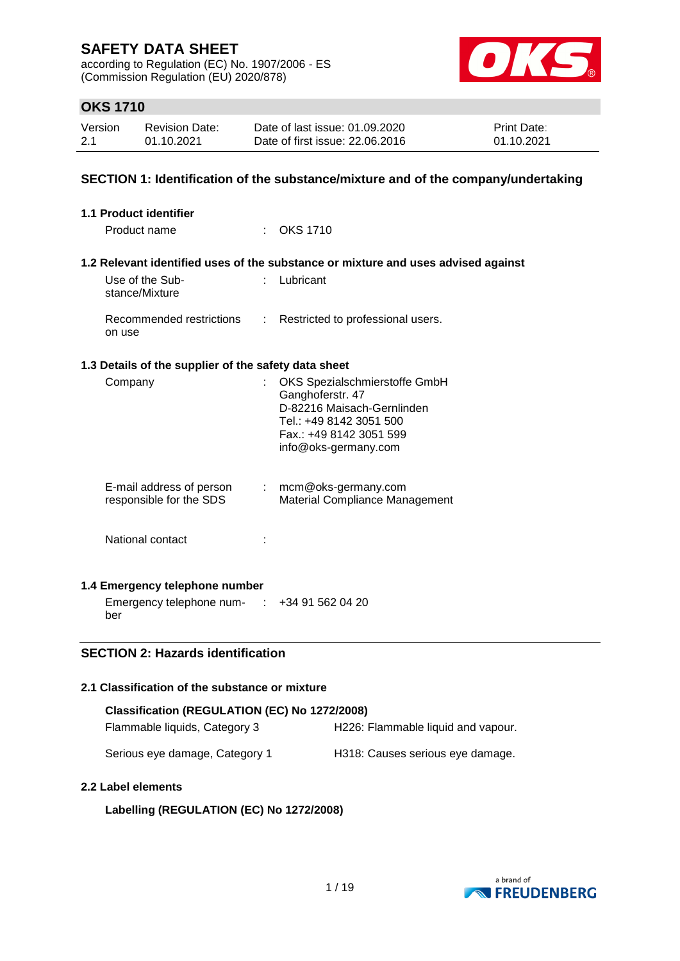according to Regulation (EC) No. 1907/2006 - ES (Commission Regulation (EU) 2020/878)



## **OKS 1710**

| Version | Revision Date: | Date of last issue: 01.09.2020  | <b>Print Date:</b> |
|---------|----------------|---------------------------------|--------------------|
| 2.1     | 01.10.2021     | Date of first issue: 22,06,2016 | 01.10.2021         |

### **SECTION 1: Identification of the substance/mixture and of the company/undertaking**

| 1.1 Product identifier                                                             |                                                                                                                                                               |
|------------------------------------------------------------------------------------|---------------------------------------------------------------------------------------------------------------------------------------------------------------|
| Product name                                                                       | $\therefore$ OKS 1710                                                                                                                                         |
|                                                                                    | 1.2 Relevant identified uses of the substance or mixture and uses advised against                                                                             |
| Use of the Sub-<br>$\mathcal{F}(\mathcal{A})$<br>stance/Mixture                    | Lubricant                                                                                                                                                     |
| Recommended restrictions<br>on use                                                 | : Restricted to professional users.                                                                                                                           |
| 1.3 Details of the supplier of the safety data sheet                               |                                                                                                                                                               |
| Company                                                                            | OKS Spezialschmierstoffe GmbH<br>Ganghoferstr. 47<br>D-82216 Maisach-Gernlinden<br>Tel.: +49 8142 3051 500<br>Fax.: +49 8142 3051 599<br>info@oks-germany.com |
| E-mail address of person<br>$\mathcal{L}^{\mathcal{L}}$<br>responsible for the SDS | mcm@oks-germany.com<br><b>Material Compliance Management</b>                                                                                                  |
| National contact                                                                   |                                                                                                                                                               |
| 1.4 Emergency telephone number                                                     |                                                                                                                                                               |
| Emergency telephone num- $\therefore$ +34 91 562 04 20                             |                                                                                                                                                               |

### **SECTION 2: Hazards identification**

### **2.1 Classification of the substance or mixture**

| Classification (REGULATION (EC) No 1272/2008) |                                    |  |  |  |  |  |
|-----------------------------------------------|------------------------------------|--|--|--|--|--|
| Flammable liquids, Category 3                 | H226: Flammable liquid and vapour. |  |  |  |  |  |
| Serious eye damage, Category 1                | H318: Causes serious eye damage.   |  |  |  |  |  |

#### **2.2 Label elements**

ber

#### **Labelling (REGULATION (EC) No 1272/2008)**

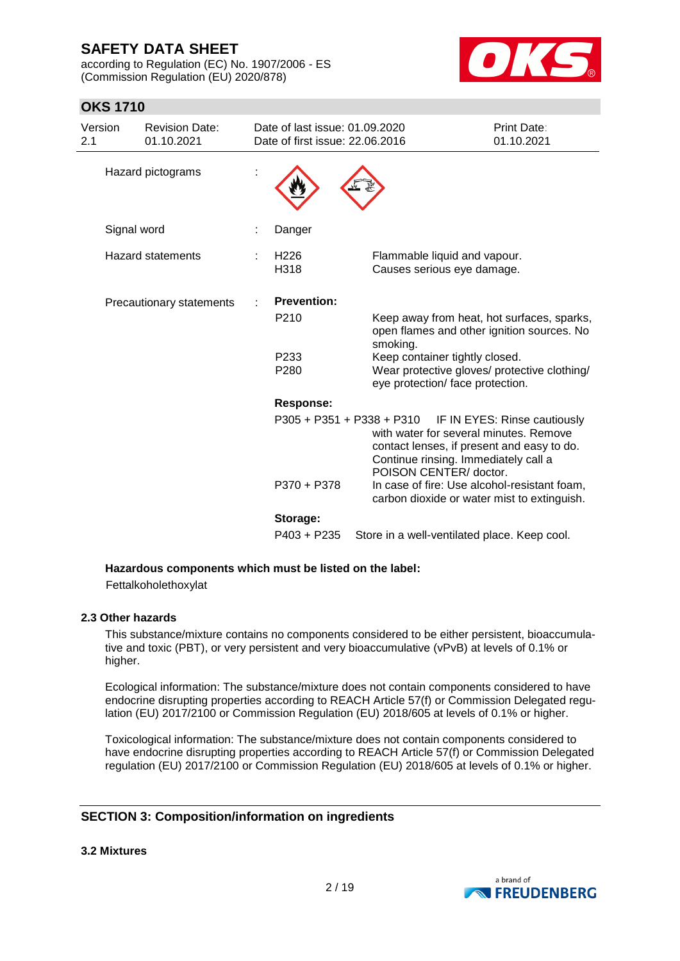according to Regulation (EC) No. 1907/2006 - ES (Commission Regulation (EU) 2020/878)



## **OKS 1710**

| Version<br>2.1 |             | <b>Revision Date:</b><br>01.10.2021 | Date of last issue: 01.09.2020<br>Date of first issue: 22.06.2016 |                                                                                                                                                        | Print Date:<br>01.10.2021    |
|----------------|-------------|-------------------------------------|-------------------------------------------------------------------|--------------------------------------------------------------------------------------------------------------------------------------------------------|------------------------------|
|                |             | Hazard pictograms                   |                                                                   |                                                                                                                                                        |                              |
|                | Signal word |                                     | Danger                                                            |                                                                                                                                                        |                              |
|                |             | <b>Hazard statements</b>            | H <sub>226</sub><br>H318                                          | Flammable liquid and vapour.<br>Causes serious eye damage.                                                                                             |                              |
|                |             | Precautionary statements            | <b>Prevention:</b><br>P <sub>210</sub>                            | Keep away from heat, hot surfaces, sparks,<br>open flames and other ignition sources. No                                                               |                              |
|                |             |                                     | P <sub>233</sub><br>P280                                          | smoking.<br>Keep container tightly closed.<br>Wear protective gloves/ protective clothing/<br>eye protection/ face protection.                         |                              |
|                |             |                                     | <b>Response:</b>                                                  |                                                                                                                                                        |                              |
|                |             |                                     | $P305 + P351 + P338 + P310$                                       | with water for several minutes. Remove<br>contact lenses, if present and easy to do.<br>Continue rinsing. Immediately call a<br>POISON CENTER/ doctor. | IF IN EYES: Rinse cautiously |
|                |             |                                     | P370 + P378                                                       | In case of fire: Use alcohol-resistant foam,<br>carbon dioxide or water mist to extinguish.                                                            |                              |
|                |             |                                     | Storage:                                                          |                                                                                                                                                        |                              |
|                |             |                                     | $P403 + P235$                                                     | Store in a well-ventilated place. Keep cool.                                                                                                           |                              |

#### **Hazardous components which must be listed on the label:**

Fettalkoholethoxylat

#### **2.3 Other hazards**

This substance/mixture contains no components considered to be either persistent, bioaccumulative and toxic (PBT), or very persistent and very bioaccumulative (vPvB) at levels of 0.1% or higher.

Ecological information: The substance/mixture does not contain components considered to have endocrine disrupting properties according to REACH Article 57(f) or Commission Delegated regulation (EU) 2017/2100 or Commission Regulation (EU) 2018/605 at levels of 0.1% or higher.

Toxicological information: The substance/mixture does not contain components considered to have endocrine disrupting properties according to REACH Article 57(f) or Commission Delegated regulation (EU) 2017/2100 or Commission Regulation (EU) 2018/605 at levels of 0.1% or higher.

#### **SECTION 3: Composition/information on ingredients**

**3.2 Mixtures**

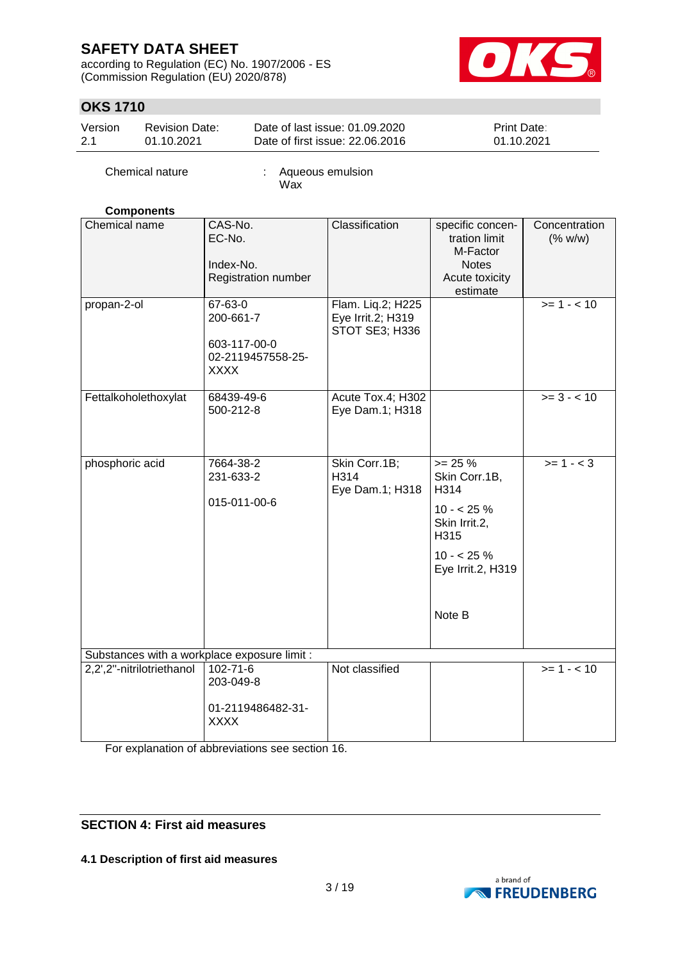according to Regulation (EC) No. 1907/2006 - ES (Commission Regulation (EU) 2020/878)



## **OKS 1710**

| Version | <b>Revision Date:</b> | Date of last issue: 01.09.2020  | <b>Print Date:</b> |
|---------|-----------------------|---------------------------------|--------------------|
| 2.1     | 01.10.2021            | Date of first issue: 22,06,2016 | 01.10.2021         |

Chemical nature : Aqueous emulsion Wax

#### **Components**

| Chemical name                                | CAS-No.<br>EC-No.<br>Index-No.<br>Registration number                    | Classification                                           | specific concen-<br>tration limit<br>M-Factor<br><b>Notes</b><br>Acute toxicity<br>estimate                            | Concentration<br>(% w/w) |  |  |  |
|----------------------------------------------|--------------------------------------------------------------------------|----------------------------------------------------------|------------------------------------------------------------------------------------------------------------------------|--------------------------|--|--|--|
| propan-2-ol                                  | 67-63-0<br>200-661-7<br>603-117-00-0<br>02-2119457558-25-<br><b>XXXX</b> | Flam. Liq.2; H225<br>Eye Irrit.2; H319<br>STOT SE3; H336 |                                                                                                                        | $>= 1 - 10$              |  |  |  |
| Fettalkoholethoxylat                         | 68439-49-6<br>500-212-8                                                  | Acute Tox.4; H302<br>Eye Dam.1; H318                     |                                                                                                                        | $>= 3 - < 10$            |  |  |  |
| phosphoric acid                              | 7664-38-2<br>231-633-2<br>015-011-00-6                                   | Skin Corr.1B;<br>H314<br>Eye Dam.1; H318                 | $>= 25 %$<br>Skin Corr.1B,<br>H314<br>$10 - 25%$<br>Skin Irrit.2,<br>H315<br>$10 - 25%$<br>Eye Irrit.2, H319<br>Note B | $>= 1 - < 3$             |  |  |  |
| Substances with a workplace exposure limit : |                                                                          |                                                          |                                                                                                                        |                          |  |  |  |
| 2,2',2"-nitrilotriethanol                    | $102 - 71 - 6$<br>203-049-8<br>01-2119486482-31-<br><b>XXXX</b>          | Not classified                                           |                                                                                                                        | $>= 1 - 10$              |  |  |  |

For explanation of abbreviations see section 16.

### **SECTION 4: First aid measures**

**4.1 Description of first aid measures**

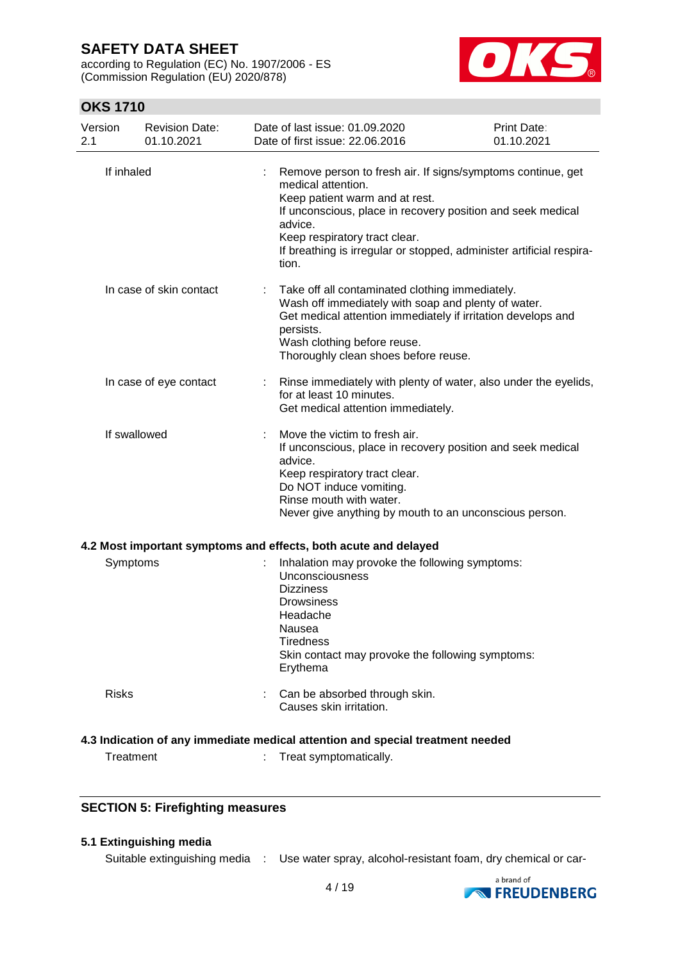according to Regulation (EC) No. 1907/2006 - ES (Commission Regulation (EU) 2020/878)



## **OKS 1710**

| Version<br>2.1 | <b>Revision Date:</b><br>01.10.2021 | Date of last issue: 01.09.2020<br>Date of first issue: 22.06.2016                                                                                                                                                                                                                                               | <b>Print Date:</b><br>01.10.2021 |
|----------------|-------------------------------------|-----------------------------------------------------------------------------------------------------------------------------------------------------------------------------------------------------------------------------------------------------------------------------------------------------------------|----------------------------------|
| If inhaled     |                                     | Remove person to fresh air. If signs/symptoms continue, get<br>medical attention.<br>Keep patient warm and at rest.<br>If unconscious, place in recovery position and seek medical<br>advice.<br>Keep respiratory tract clear.<br>If breathing is irregular or stopped, administer artificial respira-<br>tion. |                                  |
|                | In case of skin contact             | Take off all contaminated clothing immediately.<br>Wash off immediately with soap and plenty of water.<br>Get medical attention immediately if irritation develops and<br>persists.<br>Wash clothing before reuse.<br>Thoroughly clean shoes before reuse.                                                      |                                  |
|                | In case of eye contact              | Rinse immediately with plenty of water, also under the eyelids,<br>for at least 10 minutes.<br>Get medical attention immediately.                                                                                                                                                                               |                                  |
| If swallowed   |                                     | Move the victim to fresh air.<br>If unconscious, place in recovery position and seek medical<br>advice.<br>Keep respiratory tract clear.<br>Do NOT induce vomiting.<br>Rinse mouth with water.<br>Never give anything by mouth to an unconscious person.                                                        |                                  |
|                |                                     | 4.2 Most important symptoms and effects, both acute and delayed                                                                                                                                                                                                                                                 |                                  |
| Symptoms       |                                     | Inhalation may provoke the following symptoms:<br>Unconsciousness<br><b>Dizziness</b><br><b>Drowsiness</b><br>Headache<br>Nausea<br><b>Tiredness</b><br>Skin contact may provoke the following symptoms:<br>Erythema                                                                                            |                                  |
| <b>Risks</b>   |                                     | Can be absorbed through skin.<br>Causes skin irritation.                                                                                                                                                                                                                                                        |                                  |
|                |                                     | 4.3 Indication of any immediate medical attention and special treatment needed                                                                                                                                                                                                                                  |                                  |
| Treatment      |                                     | Treat symptomatically.                                                                                                                                                                                                                                                                                          |                                  |

### **SECTION 5: Firefighting measures**

### **5.1 Extinguishing media**

Suitable extinguishing media : Use water spray, alcohol-resistant foam, dry chemical or car-

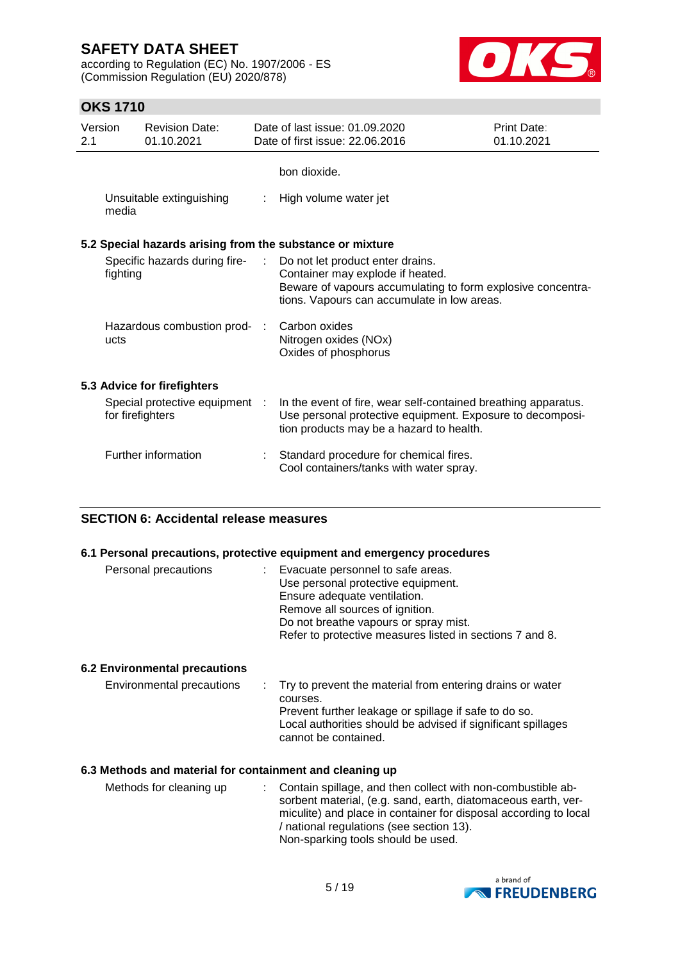according to Regulation (EC) No. 1907/2006 - ES (Commission Regulation (EU) 2020/878)



## **OKS 1710**

| Version<br>2.1 |                  | <b>Revision Date:</b><br>01.10.2021 | Date of last issue: 01.09.2020<br>Date of first issue: 22.06.2016                                                                                                                  | Print Date:<br>01.10.2021 |
|----------------|------------------|-------------------------------------|------------------------------------------------------------------------------------------------------------------------------------------------------------------------------------|---------------------------|
|                |                  |                                     | bon dioxide.                                                                                                                                                                       |                           |
|                | media            | Unsuitable extinguishing            | High volume water jet                                                                                                                                                              |                           |
|                |                  |                                     | 5.2 Special hazards arising from the substance or mixture                                                                                                                          |                           |
|                | fighting         | Specific hazards during fire-       | Do not let product enter drains.<br>Container may explode if heated.<br>Beware of vapours accumulating to form explosive concentra-<br>tions. Vapours can accumulate in low areas. |                           |
|                | ucts             | Hazardous combustion prod- :        | Carbon oxides<br>Nitrogen oxides (NOx)<br>Oxides of phosphorus                                                                                                                     |                           |
|                |                  | 5.3 Advice for firefighters         |                                                                                                                                                                                    |                           |
|                | for firefighters | Special protective equipment :      | In the event of fire, wear self-contained breathing apparatus.<br>Use personal protective equipment. Exposure to decomposi-<br>tion products may be a hazard to health.            |                           |
|                |                  | Further information                 | Standard procedure for chemical fires.<br>Cool containers/tanks with water spray.                                                                                                  |                           |

## **SECTION 6: Accidental release measures**

#### **6.1 Personal precautions, protective equipment and emergency procedures**

| Personal precautions | Evacuate personnel to safe areas.                                  |
|----------------------|--------------------------------------------------------------------|
|                      | Use personal protective equipment.<br>Ensure adequate ventilation. |
|                      | Remove all sources of ignition.                                    |
|                      | Do not breathe vapours or spray mist.                              |
|                      | Refer to protective measures listed in sections 7 and 8.           |

### **6.2 Environmental precautions**

| Environmental precautions | : Try to prevent the material from entering drains or water                          |
|---------------------------|--------------------------------------------------------------------------------------|
|                           | courses.                                                                             |
|                           | Prevent further leakage or spillage if safe to do so.                                |
|                           | Local authorities should be advised if significant spillages<br>cannot be contained. |
|                           |                                                                                      |

#### **6.3 Methods and material for containment and cleaning up**

| Methods for cleaning up | : Contain spillage, and then collect with non-combustible ab-    |
|-------------------------|------------------------------------------------------------------|
|                         | sorbent material, (e.g. sand, earth, diatomaceous earth, ver-    |
|                         | miculite) and place in container for disposal according to local |
|                         | / national regulations (see section 13).                         |
|                         | Non-sparking tools should be used.                               |

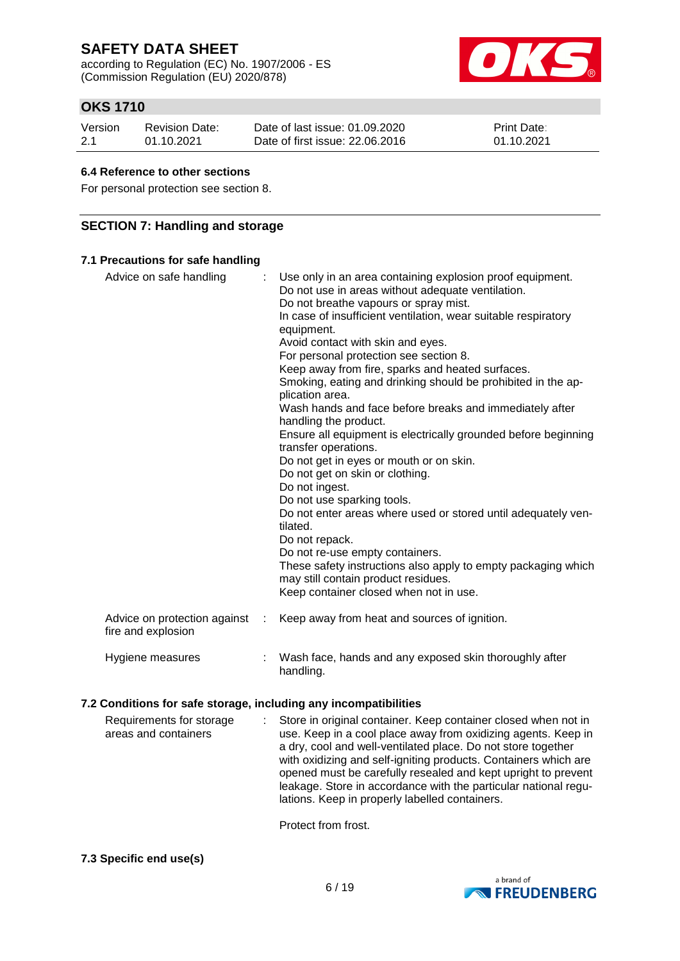according to Regulation (EC) No. 1907/2006 - ES (Commission Regulation (EU) 2020/878)



## **OKS 1710**

| Version | Revision Date: | Date of last issue: 01.09.2020  | <b>Print Date:</b> |
|---------|----------------|---------------------------------|--------------------|
| 2.1     | 01.10.2021     | Date of first issue: 22,06,2016 | 01.10.2021         |

#### **6.4 Reference to other sections**

For personal protection see section 8.

### **SECTION 7: Handling and storage**

### **7.1 Precautions for safe handling**

| Advice on safe handling                            | Use only in an area containing explosion proof equipment.<br>Do not use in areas without adequate ventilation.<br>Do not breathe vapours or spray mist.<br>In case of insufficient ventilation, wear suitable respiratory<br>equipment.<br>Avoid contact with skin and eyes.<br>For personal protection see section 8.<br>Keep away from fire, sparks and heated surfaces.<br>Smoking, eating and drinking should be prohibited in the ap-<br>plication area.<br>Wash hands and face before breaks and immediately after<br>handling the product.<br>Ensure all equipment is electrically grounded before beginning<br>transfer operations.<br>Do not get in eyes or mouth or on skin.<br>Do not get on skin or clothing.<br>Do not ingest.<br>Do not use sparking tools.<br>Do not enter areas where used or stored until adequately ven-<br>tilated.<br>Do not repack.<br>Do not re-use empty containers.<br>These safety instructions also apply to empty packaging which<br>may still contain product residues.<br>Keep container closed when not in use. |
|----------------------------------------------------|---------------------------------------------------------------------------------------------------------------------------------------------------------------------------------------------------------------------------------------------------------------------------------------------------------------------------------------------------------------------------------------------------------------------------------------------------------------------------------------------------------------------------------------------------------------------------------------------------------------------------------------------------------------------------------------------------------------------------------------------------------------------------------------------------------------------------------------------------------------------------------------------------------------------------------------------------------------------------------------------------------------------------------------------------------------|
| Advice on protection against<br>fire and explosion | Keep away from heat and sources of ignition.                                                                                                                                                                                                                                                                                                                                                                                                                                                                                                                                                                                                                                                                                                                                                                                                                                                                                                                                                                                                                  |
| Hygiene measures                                   | Wash face, hands and any exposed skin thoroughly after<br>handling.                                                                                                                                                                                                                                                                                                                                                                                                                                                                                                                                                                                                                                                                                                                                                                                                                                                                                                                                                                                           |

#### **7.2 Conditions for safe storage, including any incompatibilities**

|  | Requirements for storage<br>areas and containers | : Store in original container. Keep container closed when not in<br>use. Keep in a cool place away from oxidizing agents. Keep in<br>a dry, cool and well-ventilated place. Do not store together<br>with oxidizing and self-igniting products. Containers which are<br>opened must be carefully resealed and kept upright to prevent<br>leakage. Store in accordance with the particular national regu-<br>lations. Keep in properly labelled containers. |
|--|--------------------------------------------------|------------------------------------------------------------------------------------------------------------------------------------------------------------------------------------------------------------------------------------------------------------------------------------------------------------------------------------------------------------------------------------------------------------------------------------------------------------|
|--|--------------------------------------------------|------------------------------------------------------------------------------------------------------------------------------------------------------------------------------------------------------------------------------------------------------------------------------------------------------------------------------------------------------------------------------------------------------------------------------------------------------------|

Protect from frost.

#### **7.3 Specific end use(s)**

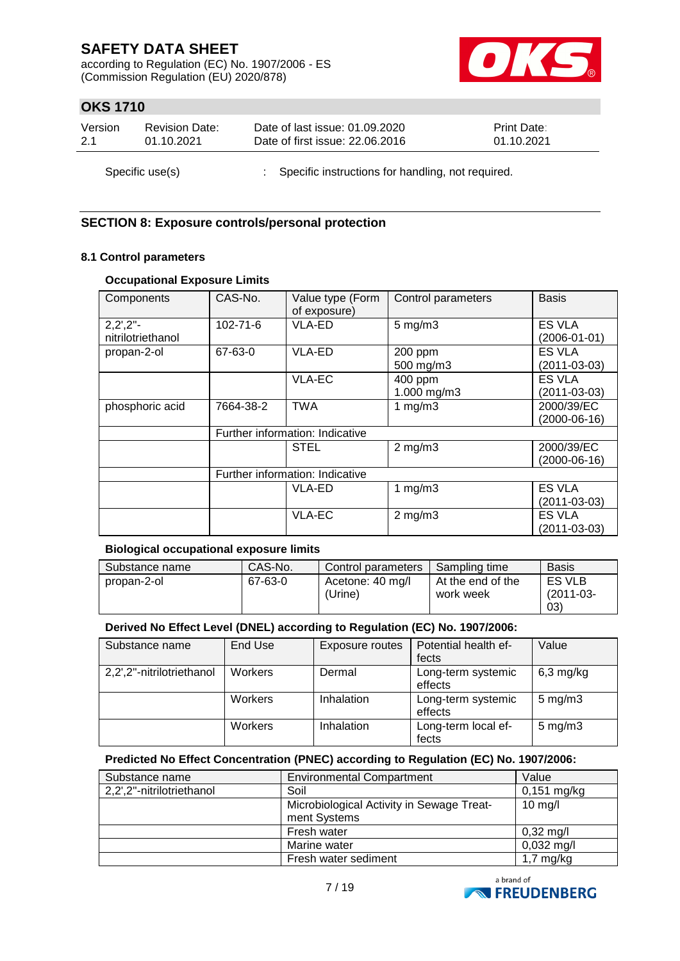according to Regulation (EC) No. 1907/2006 - ES (Commission Regulation (EU) 2020/878)



## **OKS 1710**

| Version | <b>Revision Date:</b> | Date of last issue: 01.09.2020                      | <b>Print Date:</b> |
|---------|-----------------------|-----------------------------------------------------|--------------------|
| 2.1     | 01.10.2021            | Date of first issue: 22.06.2016                     | 01.10.2021         |
|         | Specific use(s)       | : Specific instructions for handling, not required. |                    |

## **SECTION 8: Exposure controls/personal protection**

#### **8.1 Control parameters**

### **Occupational Exposure Limits**

| Components                        | CAS-No.                         | Value type (Form<br>of exposure) | Control parameters | <b>Basis</b>       |
|-----------------------------------|---------------------------------|----------------------------------|--------------------|--------------------|
| $2,2^{\prime},2^{\prime\prime}$ - | $102 - 71 - 6$                  | VLA-ED                           | $5 \text{ mg/m}$ 3 | <b>ES VLA</b>      |
| nitrilotriethanol                 |                                 |                                  |                    | $(2006 - 01 - 01)$ |
| propan-2-ol                       | 67-63-0                         | VLA-ED                           | 200 ppm            | <b>ES VLA</b>      |
|                                   |                                 |                                  | 500 mg/m3          | $(2011 - 03 - 03)$ |
|                                   |                                 | <b>VLA-EC</b>                    | 400 ppm            | <b>ES VLA</b>      |
|                                   |                                 |                                  | 1.000 mg/m3        | $(2011 - 03 - 03)$ |
| phosphoric acid                   | 7664-38-2                       | <b>TWA</b>                       | 1 $mg/m3$          | 2000/39/EC         |
|                                   |                                 |                                  |                    | $(2000-06-16)$     |
|                                   | Further information: Indicative |                                  |                    |                    |
|                                   |                                 | <b>STEL</b>                      | $2$ mg/m $3$       | 2000/39/EC         |
|                                   |                                 |                                  |                    | (2000-06-16)       |
|                                   |                                 | Further information: Indicative  |                    |                    |
|                                   |                                 | <b>VLA-ED</b>                    | 1 $mg/m3$          | <b>ES VLA</b>      |
|                                   |                                 |                                  |                    | $(2011 - 03 - 03)$ |
|                                   |                                 | <b>VLA-EC</b>                    | $2$ mg/m $3$       | <b>ES VLA</b>      |
|                                   |                                 |                                  |                    | (2011-03-03)       |

#### **Biological occupational exposure limits**

| Substance name | CAS-No. | Control parameters          | Sampling time                    | <b>Basis</b>          |
|----------------|---------|-----------------------------|----------------------------------|-----------------------|
| propan-2-ol    | 67-63-0 | Acetone: 40 mg/l<br>(Urine) | I At the end of the<br>work week | ES VLB<br>$(2011-03-$ |
|                |         |                             |                                  | (03)                  |

#### **Derived No Effect Level (DNEL) according to Regulation (EC) No. 1907/2006:**

| Substance name            | End Use | Exposure routes | Potential health ef- | Value              |
|---------------------------|---------|-----------------|----------------------|--------------------|
|                           |         |                 | fects                |                    |
| 2,2',2"-nitrilotriethanol | Workers | Dermal          | Long-term systemic   | $6,3$ mg/kg        |
|                           |         |                 | effects              |                    |
|                           | Workers | Inhalation      | Long-term systemic   | $5$ mg/m $3$       |
|                           |         |                 | effects              |                    |
|                           | Workers | Inhalation      | Long-term local ef-  | $5 \text{ mg/m}$ 3 |
|                           |         |                 | fects                |                    |

### **Predicted No Effect Concentration (PNEC) according to Regulation (EC) No. 1907/2006:**

| Substance name            | <b>Environmental Compartment</b>          | Value                |
|---------------------------|-------------------------------------------|----------------------|
| 2,2',2"-nitrilotriethanol | Soil                                      | $0,151$ mg/kg        |
|                           | Microbiological Activity in Sewage Treat- | $10$ mg/l            |
|                           | ment Systems                              |                      |
|                           | Fresh water                               | $0,32 \text{ mg/l}$  |
|                           | Marine water                              | $0,032 \text{ mg/l}$ |
|                           | Fresh water sediment                      | $1,7$ mg/kg          |

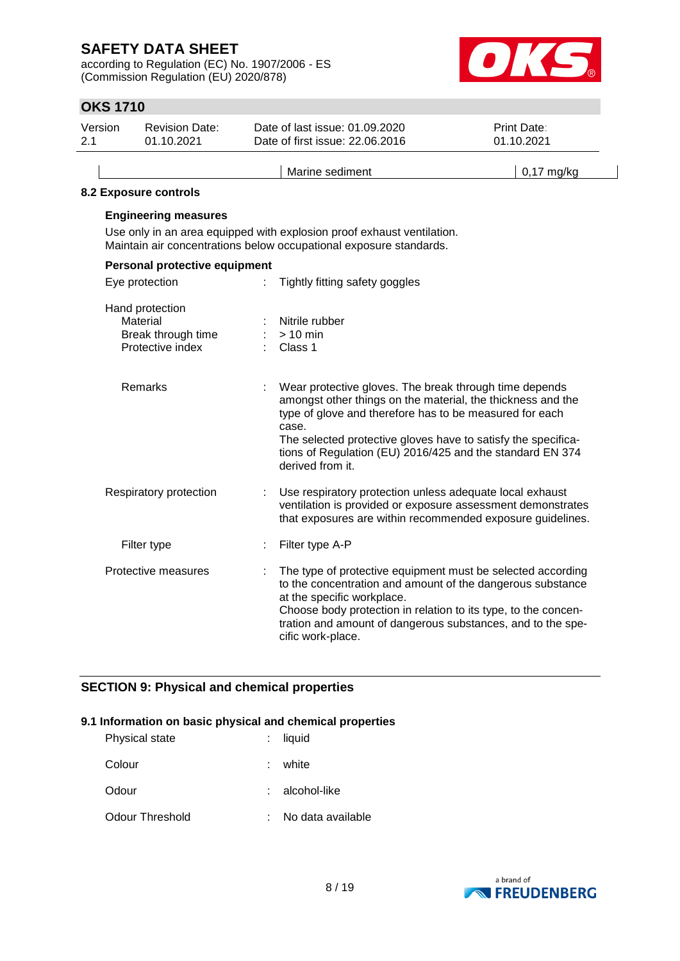according to Regulation (EC) No. 1907/2006 - ES (Commission Regulation (EU) 2020/878)



# **OKS 1710**

| <b>OKS 1710</b> |                                                                       |   |                                                                                                                                                                                                                                                                                                                                             |                                  |
|-----------------|-----------------------------------------------------------------------|---|---------------------------------------------------------------------------------------------------------------------------------------------------------------------------------------------------------------------------------------------------------------------------------------------------------------------------------------------|----------------------------------|
| Version<br>2.1  | <b>Revision Date:</b><br>01.10.2021                                   |   | Date of last issue: 01.09.2020<br>Date of first issue: 22.06.2016                                                                                                                                                                                                                                                                           | <b>Print Date:</b><br>01.10.2021 |
|                 |                                                                       |   | Marine sediment                                                                                                                                                                                                                                                                                                                             | $0,17$ mg/kg                     |
|                 | 8.2 Exposure controls                                                 |   |                                                                                                                                                                                                                                                                                                                                             |                                  |
|                 | <b>Engineering measures</b>                                           |   | Use only in an area equipped with explosion proof exhaust ventilation.<br>Maintain air concentrations below occupational exposure standards.                                                                                                                                                                                                |                                  |
|                 | Personal protective equipment                                         |   |                                                                                                                                                                                                                                                                                                                                             |                                  |
|                 | Eye protection                                                        | ÷ | Tightly fitting safety goggles                                                                                                                                                                                                                                                                                                              |                                  |
|                 | Hand protection<br>Material<br>Break through time<br>Protective index |   | Nitrile rubber<br>$> 10$ min<br>Class 1                                                                                                                                                                                                                                                                                                     |                                  |
|                 | Remarks                                                               |   | Wear protective gloves. The break through time depends<br>amongst other things on the material, the thickness and the<br>type of glove and therefore has to be measured for each<br>case.<br>The selected protective gloves have to satisfy the specifica-<br>tions of Regulation (EU) 2016/425 and the standard EN 374<br>derived from it. |                                  |
|                 | Respiratory protection                                                |   | Use respiratory protection unless adequate local exhaust<br>ventilation is provided or exposure assessment demonstrates<br>that exposures are within recommended exposure guidelines.                                                                                                                                                       |                                  |
|                 | Filter type                                                           | t | Filter type A-P                                                                                                                                                                                                                                                                                                                             |                                  |
|                 | Protective measures                                                   |   | The type of protective equipment must be selected according<br>to the concentration and amount of the dangerous substance<br>at the specific workplace.<br>Choose body protection in relation to its type, to the concen-<br>tration and amount of dangerous substances, and to the spe-<br>cific work-place.                               |                                  |

## **SECTION 9: Physical and chemical properties**

#### **9.1 Information on basic physical and chemical properties**

| Physical state  |    | : liquid          |
|-----------------|----|-------------------|
| Colour          | ÷. | white             |
| Odour           |    | alcohol-like      |
| Odour Threshold |    | No data available |

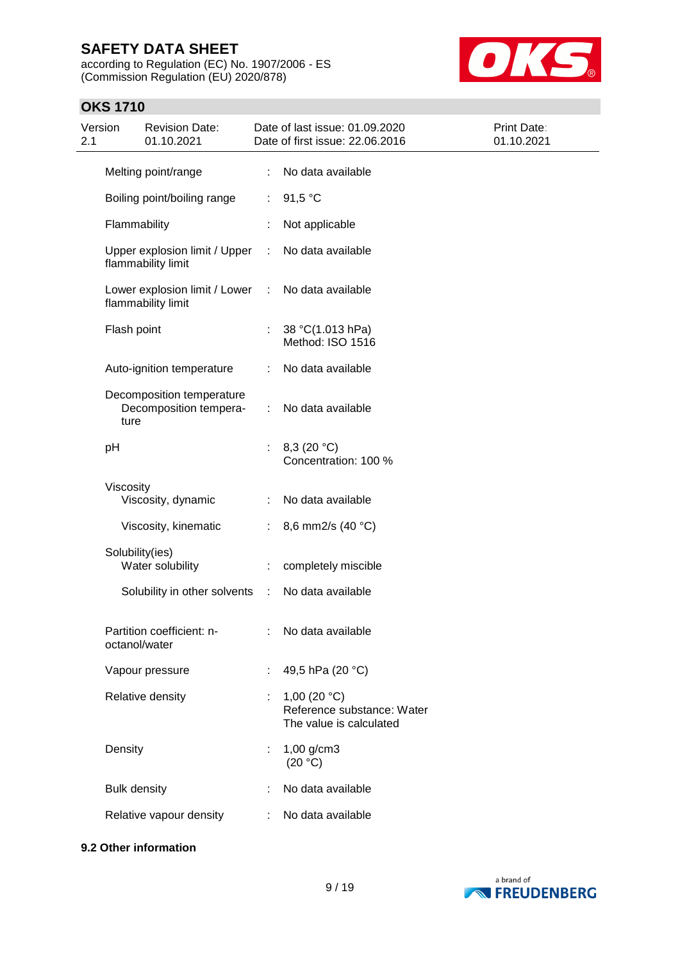according to Regulation (EC) No. 1907/2006 - ES (Commission Regulation (EU) 2020/878)



### **OKS 1710**

| Version<br>2.1 |                     | <b>Revision Date:</b><br>01.10.2021                 |                           | Date of last issue: 01.09.2020<br>Date of first issue: 22.06.2016       | Print Date:<br>01.10.2021 |
|----------------|---------------------|-----------------------------------------------------|---------------------------|-------------------------------------------------------------------------|---------------------------|
|                |                     | Melting point/range                                 | ÷.                        | No data available                                                       |                           |
|                |                     | Boiling point/boiling range                         | ÷                         | 91,5 °C                                                                 |                           |
|                | Flammability        |                                                     |                           | Not applicable                                                          |                           |
|                |                     | Upper explosion limit / Upper<br>flammability limit | ÷                         | No data available                                                       |                           |
|                |                     | Lower explosion limit / Lower<br>flammability limit | $\mathbb{R}^n$            | No data available                                                       |                           |
|                | Flash point         |                                                     | ÷                         | 38 °C(1.013 hPa)<br>Method: ISO 1516                                    |                           |
|                |                     | Auto-ignition temperature                           | ÷                         | No data available                                                       |                           |
|                | ture                | Decomposition temperature<br>Decomposition tempera- | ÷                         | No data available                                                       |                           |
|                | pH                  |                                                     | t.                        | 8,3 $(20 °C)$<br>Concentration: 100 %                                   |                           |
|                | Viscosity           | Viscosity, dynamic                                  | ÷                         | No data available                                                       |                           |
|                |                     | Viscosity, kinematic                                | ÷                         | 8,6 mm2/s (40 °C)                                                       |                           |
|                | Solubility(ies)     | Water solubility                                    |                           | completely miscible                                                     |                           |
|                |                     | Solubility in other solvents                        | $\sim 10$                 | No data available                                                       |                           |
|                | octanol/water       | Partition coefficient: n-                           | $\mathbb{R}^{\mathbb{Z}}$ | No data available                                                       |                           |
|                |                     | Vapour pressure                                     | ÷                         | 49,5 hPa (20 °C)                                                        |                           |
|                |                     | Relative density                                    |                           | 1,00 $(20 °C)$<br>Reference substance: Water<br>The value is calculated |                           |
|                | Density             |                                                     | ÷.                        | $1,00$ g/cm3<br>(20 °C)                                                 |                           |
|                | <b>Bulk density</b> |                                                     |                           | No data available                                                       |                           |
|                |                     | Relative vapour density                             | ÷                         | No data available                                                       |                           |

### **9.2 Other information**

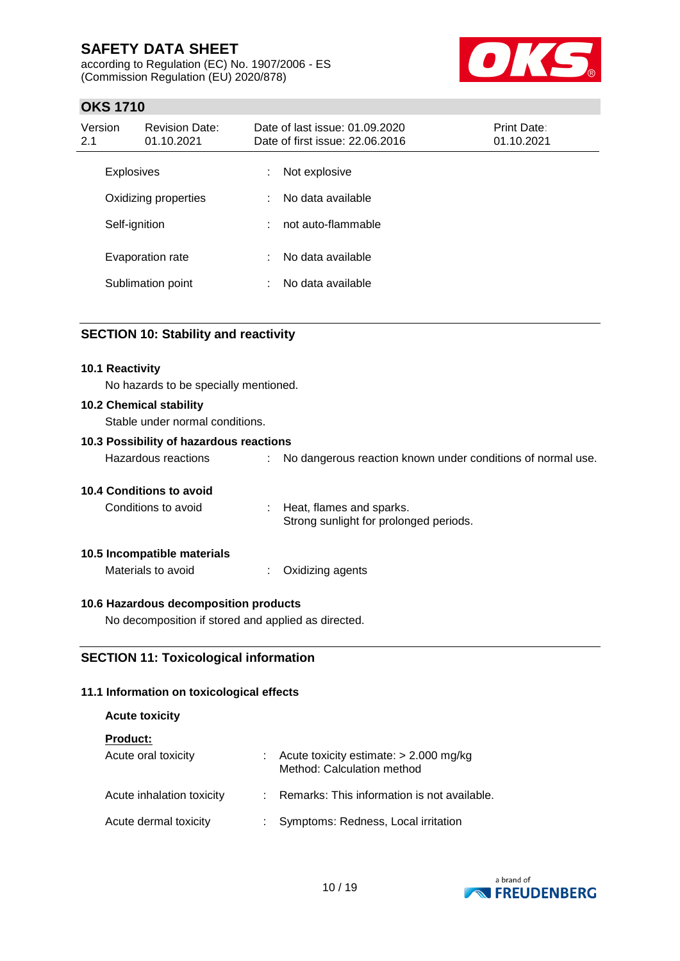according to Regulation (EC) No. 1907/2006 - ES (Commission Regulation (EU) 2020/878)



## **OKS 1710**

| Version<br>2.1    | <b>Revision Date:</b><br>01.10.2021 |   | Date of last issue: 01.09.2020<br>Date of first issue: 22.06.2016 | <b>Print Date:</b><br>01.10.2021 |  |
|-------------------|-------------------------------------|---|-------------------------------------------------------------------|----------------------------------|--|
| <b>Explosives</b> |                                     | ÷ | Not explosive                                                     |                                  |  |
|                   | Oxidizing properties                | ÷ | No data available                                                 |                                  |  |
| Self-ignition     |                                     | ÷ | not auto-flammable                                                |                                  |  |
|                   | Evaporation rate                    | ÷ | No data available                                                 |                                  |  |
|                   | Sublimation point                   | ÷ | No data available                                                 |                                  |  |

#### **SECTION 10: Stability and reactivity**

#### **10.1 Reactivity**

No hazards to be specially mentioned.

#### **10.2 Chemical stability**

Stable under normal conditions.

#### **10.3 Possibility of hazardous reactions**

| Hazardous reactions |  | No dangerous reaction known under conditions of normal use. |
|---------------------|--|-------------------------------------------------------------|
|---------------------|--|-------------------------------------------------------------|

#### **10.4 Conditions to avoid**

| Conditions to avoid | Heat, flames and sparks.               |
|---------------------|----------------------------------------|
|                     | Strong sunlight for prolonged periods. |

#### **10.5 Incompatible materials**

Materials to avoid : Oxidizing agents

#### **10.6 Hazardous decomposition products**

No decomposition if stored and applied as directed.

### **SECTION 11: Toxicological information**

#### **11.1 Information on toxicological effects**

#### **Acute toxicity**

**Product:**

| Acute oral toxicity       |    | Acute toxicity estimate: $> 2.000$ mg/kg<br>Method: Calculation method |
|---------------------------|----|------------------------------------------------------------------------|
| Acute inhalation toxicity |    | : Remarks: This information is not available.                          |
| Acute dermal toxicity     | ÷. | Symptoms: Redness, Local irritation                                    |

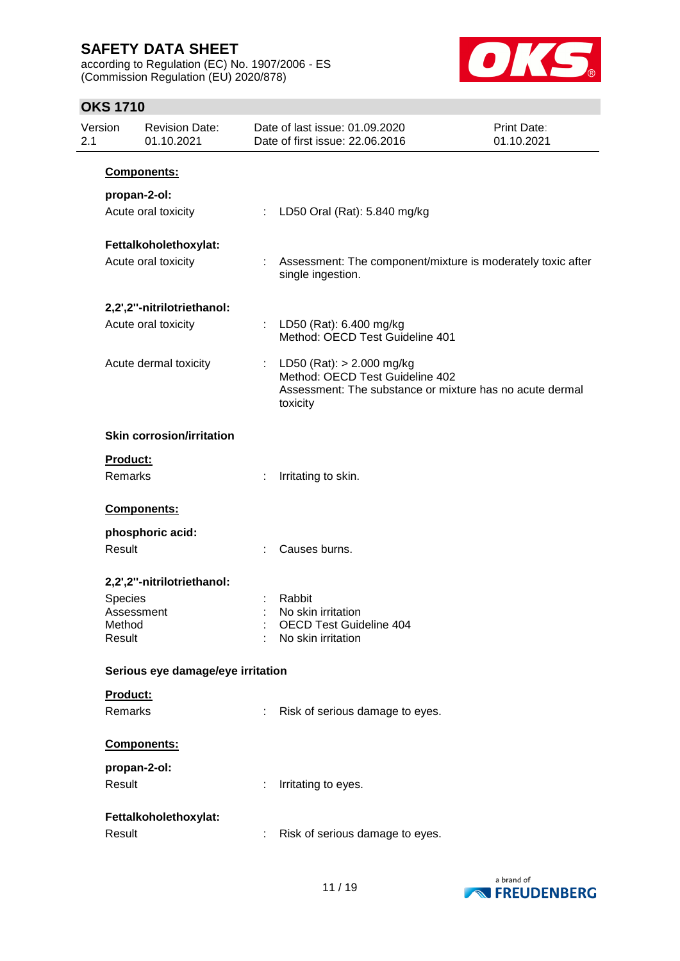according to Regulation (EC) No. 1907/2006 - ES (Commission Regulation (EU) 2020/878)



## **OKS 1710**

| 2.1 | Version             | <b>Revision Date:</b><br>01.10.2021 |                             | Date of last issue: 01.09.2020<br>Date of first issue: 22.06.2016                                                                        | Print Date:<br>01.10.2021 |
|-----|---------------------|-------------------------------------|-----------------------------|------------------------------------------------------------------------------------------------------------------------------------------|---------------------------|
|     |                     | Components:                         |                             |                                                                                                                                          |                           |
|     |                     | propan-2-ol:                        |                             |                                                                                                                                          |                           |
|     |                     | Acute oral toxicity                 | $\mathbb{Z}^{\mathbb{Z}^n}$ | LD50 Oral (Rat): 5.840 mg/kg                                                                                                             |                           |
|     |                     | Fettalkoholethoxylat:               |                             |                                                                                                                                          |                           |
|     |                     | Acute oral toxicity                 |                             | Assessment: The component/mixture is moderately toxic after<br>single ingestion.                                                         |                           |
|     |                     | 2,2',2"-nitrilotriethanol:          |                             |                                                                                                                                          |                           |
|     |                     | Acute oral toxicity                 |                             | : LD50 (Rat): 6.400 mg/kg<br>Method: OECD Test Guideline 401                                                                             |                           |
|     |                     | Acute dermal toxicity               |                             | : LD50 (Rat): $> 2.000$ mg/kg<br>Method: OECD Test Guideline 402<br>Assessment: The substance or mixture has no acute dermal<br>toxicity |                           |
|     |                     | <b>Skin corrosion/irritation</b>    |                             |                                                                                                                                          |                           |
|     | Product:<br>Remarks |                                     |                             | Irritating to skin.                                                                                                                      |                           |
|     |                     | Components:                         |                             |                                                                                                                                          |                           |
|     |                     | phosphoric acid:                    |                             |                                                                                                                                          |                           |
|     | Result              |                                     |                             | Causes burns.                                                                                                                            |                           |
|     |                     | 2,2',2"-nitrilotriethanol:          |                             |                                                                                                                                          |                           |
|     | <b>Species</b>      |                                     |                             | Rabbit                                                                                                                                   |                           |
|     |                     | Assessment                          |                             | No skin irritation                                                                                                                       |                           |
|     | Method<br>Result    |                                     |                             | <b>OECD Test Guideline 404</b><br>No skin irritation                                                                                     |                           |
|     |                     | Serious eye damage/eye irritation   |                             |                                                                                                                                          |                           |
|     | Product:            |                                     |                             |                                                                                                                                          |                           |
|     | Remarks             |                                     |                             | Risk of serious damage to eyes.                                                                                                          |                           |
|     |                     | Components:                         |                             |                                                                                                                                          |                           |
|     |                     | propan-2-ol:                        |                             |                                                                                                                                          |                           |
|     | Result              |                                     |                             | Irritating to eyes.                                                                                                                      |                           |
|     |                     | Fettalkoholethoxylat:               |                             |                                                                                                                                          |                           |
|     | Result              |                                     |                             | Risk of serious damage to eyes.                                                                                                          |                           |

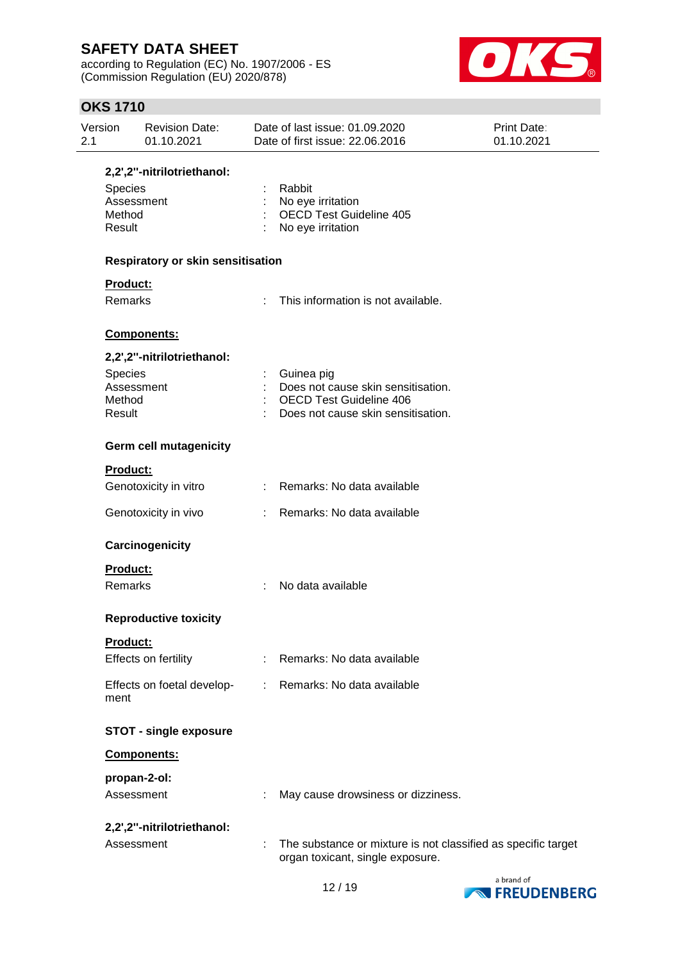according to Regulation (EC) No. 1907/2006 - ES (Commission Regulation (EU) 2020/878)



## **OKS 1710**

| Version<br>2.1  | <b>Revision Date:</b><br>01.10.2021 | Date of last issue: 01.09.2020<br>Date of first issue: 22.06.2016 | Print Date:<br>01.10.2021 |
|-----------------|-------------------------------------|-------------------------------------------------------------------|---------------------------|
|                 | 2,2',2"-nitrilotriethanol:          |                                                                   |                           |
| <b>Species</b>  |                                     | Rabbit                                                            |                           |
|                 | Assessment                          | No eye irritation                                                 |                           |
| Method          |                                     | <b>OECD Test Guideline 405</b>                                    |                           |
| Result          |                                     | No eye irritation                                                 |                           |
|                 | Respiratory or skin sensitisation   |                                                                   |                           |
| <b>Product:</b> |                                     |                                                                   |                           |
| Remarks         |                                     | This information is not available.                                |                           |
|                 | Components:                         |                                                                   |                           |
|                 | 2,2',2"-nitrilotriethanol:          |                                                                   |                           |
| Species         |                                     | Guinea pig                                                        |                           |
|                 | Assessment                          | Does not cause skin sensitisation.                                |                           |
| Method          |                                     | <b>OECD Test Guideline 406</b>                                    |                           |
| Result          |                                     | Does not cause skin sensitisation.                                |                           |
|                 | <b>Germ cell mutagenicity</b>       |                                                                   |                           |
| <b>Product:</b> |                                     |                                                                   |                           |
|                 | Genotoxicity in vitro               | : Remarks: No data available                                      |                           |
|                 | Genotoxicity in vivo                | Remarks: No data available                                        |                           |
|                 | Carcinogenicity                     |                                                                   |                           |
| Product:        |                                     |                                                                   |                           |
| Remarks         |                                     | No data available                                                 |                           |
|                 | <b>Reproductive toxicity</b>        |                                                                   |                           |
| Product:        |                                     |                                                                   |                           |
|                 | Effects on fertility                | Remarks: No data available                                        |                           |
| ment            | Effects on foetal develop-          | Remarks: No data available<br>t.                                  |                           |
|                 | <b>STOT - single exposure</b>       |                                                                   |                           |
|                 | Components:                         |                                                                   |                           |
|                 | propan-2-ol:                        |                                                                   |                           |
|                 | Assessment                          | May cause drowsiness or dizziness.                                |                           |
|                 | 2,2',2"-nitrilotriethanol:          |                                                                   |                           |
|                 | Assessment                          | The substance or mixture is not classified as specific target     |                           |
|                 |                                     | organ toxicant, single exposure.                                  |                           |

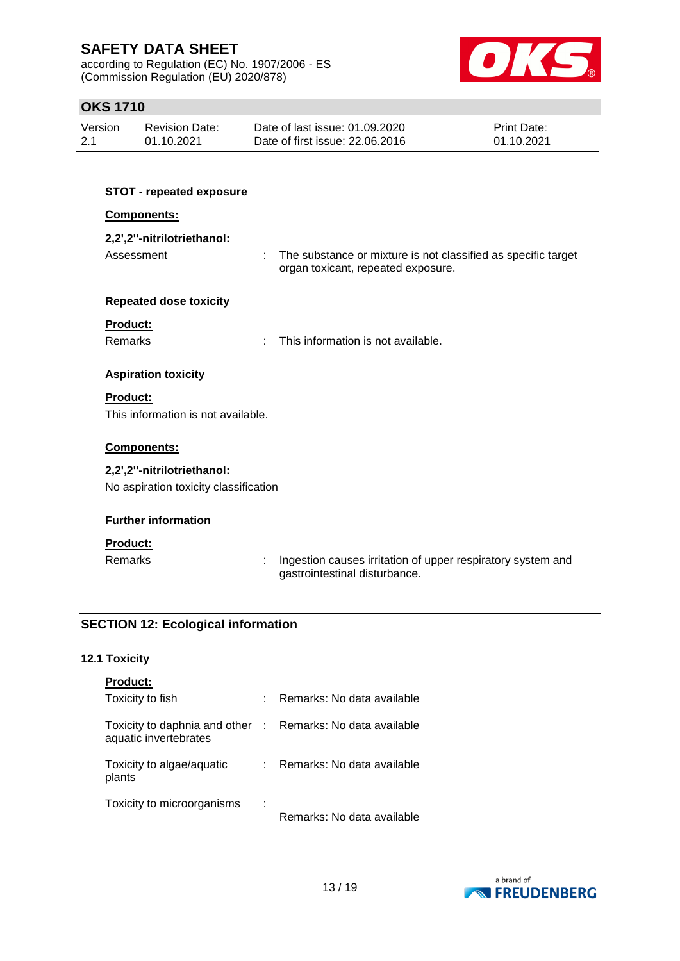according to Regulation (EC) No. 1907/2006 - ES (Commission Regulation (EU) 2020/878)



## **OKS 1710**

| Version | <b>Revision Date:</b> | Date of last issue: 01.09.2020  | <b>Print Date:</b> |
|---------|-----------------------|---------------------------------|--------------------|
| 2.1     | 01.10.2021            | Date of first issue: 22,06,2016 | 01.10.2021         |

| <b>STOT - repeated exposure</b>       |                                                                                                          |
|---------------------------------------|----------------------------------------------------------------------------------------------------------|
| Components:                           |                                                                                                          |
| 2,2',2"-nitrilotriethanol:            |                                                                                                          |
| Assessment                            | ÷<br>The substance or mixture is not classified as specific target<br>organ toxicant, repeated exposure. |
| <b>Repeated dose toxicity</b>         |                                                                                                          |
| Product:                              |                                                                                                          |
| Remarks                               | This information is not available.                                                                       |
| <b>Aspiration toxicity</b>            |                                                                                                          |
| <b>Product:</b>                       |                                                                                                          |
| This information is not available.    |                                                                                                          |
| Components:                           |                                                                                                          |
| 2,2',2"-nitrilotriethanol:            |                                                                                                          |
| No aspiration toxicity classification |                                                                                                          |
| <b>Further information</b>            |                                                                                                          |
| <b>Product:</b>                       |                                                                                                          |
| Remarks                               | Ingestion causes irritation of upper respiratory system and<br>gastrointestinal disturbance.             |
|                                       |                                                                                                          |

## **SECTION 12: Ecological information**

### **12.1 Toxicity**

| <b>Product:</b>                                          |   |                            |
|----------------------------------------------------------|---|----------------------------|
| Toxicity to fish                                         |   | Remarks: No data available |
| Toxicity to daphnia and other :<br>aquatic invertebrates |   | Remarks: No data available |
| Toxicity to algae/aquatic<br>plants                      |   | Remarks: No data available |
| Toxicity to microorganisms                               | ÷ | Remarks: No data available |

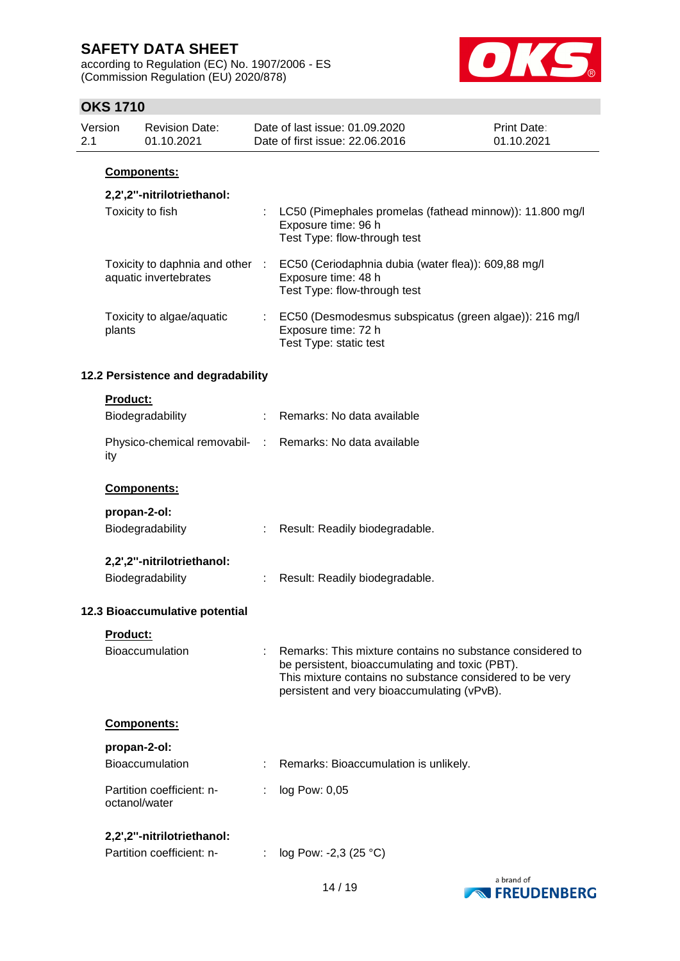according to Regulation (EC) No. 1907/2006 - ES (Commission Regulation (EU) 2020/878)



## **OKS 1710**

| Version<br>2.1 |                 | <b>Revision Date:</b><br>01.10.2021                      |    | Date of last issue: 01.09.2020<br>Date of first issue: 22.06.2016                                                                                                                                                       | <b>Print Date:</b><br>01.10.2021 |
|----------------|-----------------|----------------------------------------------------------|----|-------------------------------------------------------------------------------------------------------------------------------------------------------------------------------------------------------------------------|----------------------------------|
|                |                 | Components:                                              |    |                                                                                                                                                                                                                         |                                  |
|                |                 | 2,2',2"-nitrilotriethanol:                               |    |                                                                                                                                                                                                                         |                                  |
|                |                 | Toxicity to fish                                         |    | : LC50 (Pimephales promelas (fathead minnow)): 11.800 mg/l<br>Exposure time: 96 h<br>Test Type: flow-through test                                                                                                       |                                  |
|                |                 | Toxicity to daphnia and other :<br>aquatic invertebrates |    | EC50 (Ceriodaphnia dubia (water flea)): 609,88 mg/l<br>Exposure time: 48 h<br>Test Type: flow-through test                                                                                                              |                                  |
|                | plants          | Toxicity to algae/aquatic                                | t. | EC50 (Desmodesmus subspicatus (green algae)): 216 mg/l<br>Exposure time: 72 h<br>Test Type: static test                                                                                                                 |                                  |
|                |                 | 12.2 Persistence and degradability                       |    |                                                                                                                                                                                                                         |                                  |
|                | <b>Product:</b> |                                                          |    |                                                                                                                                                                                                                         |                                  |
|                |                 | Biodegradability                                         |    | Remarks: No data available                                                                                                                                                                                              |                                  |
|                | ity             |                                                          |    | Physico-chemical removabil- : Remarks: No data available                                                                                                                                                                |                                  |
|                |                 | Components:                                              |    |                                                                                                                                                                                                                         |                                  |
|                | propan-2-ol:    |                                                          |    |                                                                                                                                                                                                                         |                                  |
|                |                 | Biodegradability                                         |    | Result: Readily biodegradable.                                                                                                                                                                                          |                                  |
|                |                 | 2,2',2"-nitrilotriethanol:                               |    |                                                                                                                                                                                                                         |                                  |
|                |                 | Biodegradability                                         |    | Result: Readily biodegradable.                                                                                                                                                                                          |                                  |
|                |                 | 12.3 Bioaccumulative potential                           |    |                                                                                                                                                                                                                         |                                  |
|                | <b>Product:</b> |                                                          |    |                                                                                                                                                                                                                         |                                  |
|                |                 | <b>Bioaccumulation</b>                                   |    | Remarks: This mixture contains no substance considered to<br>be persistent, bioaccumulating and toxic (PBT).<br>This mixture contains no substance considered to be very<br>persistent and very bioaccumulating (vPvB). |                                  |
|                |                 | Components:                                              |    |                                                                                                                                                                                                                         |                                  |
|                | propan-2-ol:    |                                                          |    |                                                                                                                                                                                                                         |                                  |
|                |                 | <b>Bioaccumulation</b>                                   |    | Remarks: Bioaccumulation is unlikely.                                                                                                                                                                                   |                                  |
|                | octanol/water   | Partition coefficient: n-                                |    | log Pow: 0,05                                                                                                                                                                                                           |                                  |
|                |                 | 2,2',2"-nitrilotriethanol:                               |    |                                                                                                                                                                                                                         |                                  |
|                |                 | Partition coefficient: n-                                |    | log Pow: -2,3 (25 °C)                                                                                                                                                                                                   |                                  |

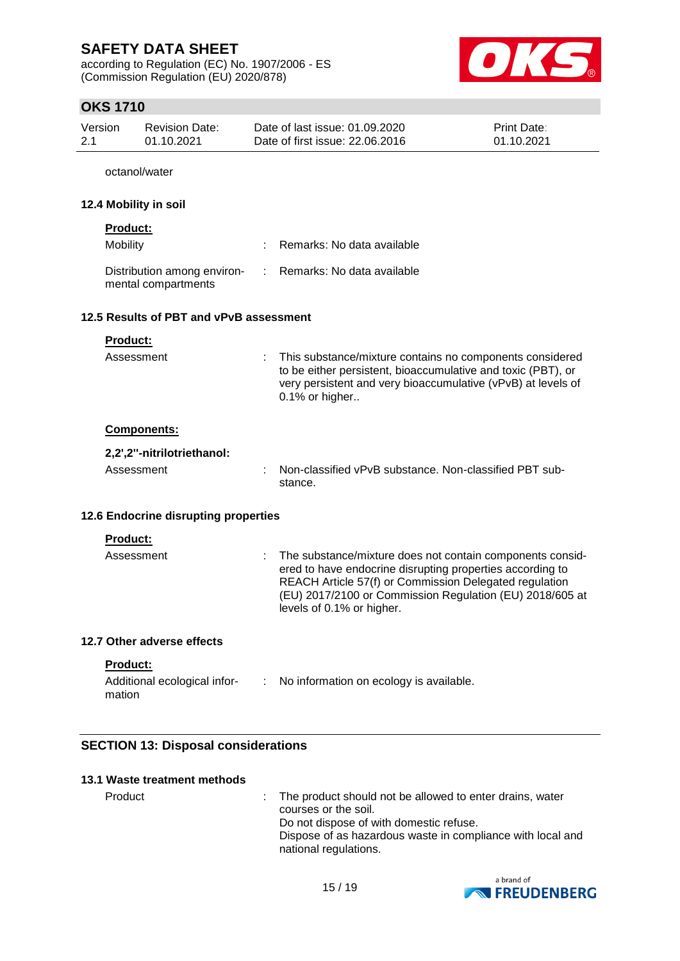according to Regulation (EC) No. 1907/2006 - ES (Commission Regulation (EU) 2020/878)



## **OKS 1710**

| Version | Revision Date: | Date of last issue: 01.09.2020  | <b>Print Date:</b> |
|---------|----------------|---------------------------------|--------------------|
| -2.1    | 01.10.2021     | Date of first issue: 22,06,2016 | 01.10.2021         |
|         |                |                                 |                    |

octanol/water

#### **12.4 Mobility in soil**

| <b>Product:</b>                                    |                              |
|----------------------------------------------------|------------------------------|
| Mobility                                           | : Remarks: No data available |
| Distribution among environ-<br>mental compartments | : Remarks: No data available |

#### **12.5 Results of PBT and vPvB assessment**

| This substance/mixture contains no components considered<br>to be either persistent, bioaccumulative and toxic (PBT), or<br>very persistent and very bioaccumulative (vPvB) at levels of<br>0.1% or higher                                                                  |
|-----------------------------------------------------------------------------------------------------------------------------------------------------------------------------------------------------------------------------------------------------------------------------|
|                                                                                                                                                                                                                                                                             |
|                                                                                                                                                                                                                                                                             |
| Non-classified vPvB substance. Non-classified PBT sub-<br>stance.                                                                                                                                                                                                           |
| 12.6 Endocrine disrupting properties                                                                                                                                                                                                                                        |
|                                                                                                                                                                                                                                                                             |
| : The substance/mixture does not contain components consid-<br>ered to have endocrine disrupting properties according to<br>REACH Article 57(f) or Commission Delegated regulation<br>(EU) 2017/2100 or Commission Regulation (EU) 2018/605 at<br>levels of 0.1% or higher. |
|                                                                                                                                                                                                                                                                             |
|                                                                                                                                                                                                                                                                             |

#### **Product:**

| Additional ecological infor- | No information on ecology is available. |
|------------------------------|-----------------------------------------|
| mation                       |                                         |

### **SECTION 13: Disposal considerations**

| 13.1 Waste treatment methods |                                                                                    |
|------------------------------|------------------------------------------------------------------------------------|
| Product                      | : The product should not be allowed to enter drains, water<br>courses or the soil. |
|                              | Do not dispose of with domestic refuse.                                            |
|                              | Diagogaethau banaadana maata istoopaalisaan mitoloogal i                           |

Dispose of as hazardous waste in compliance with local and national regulations.

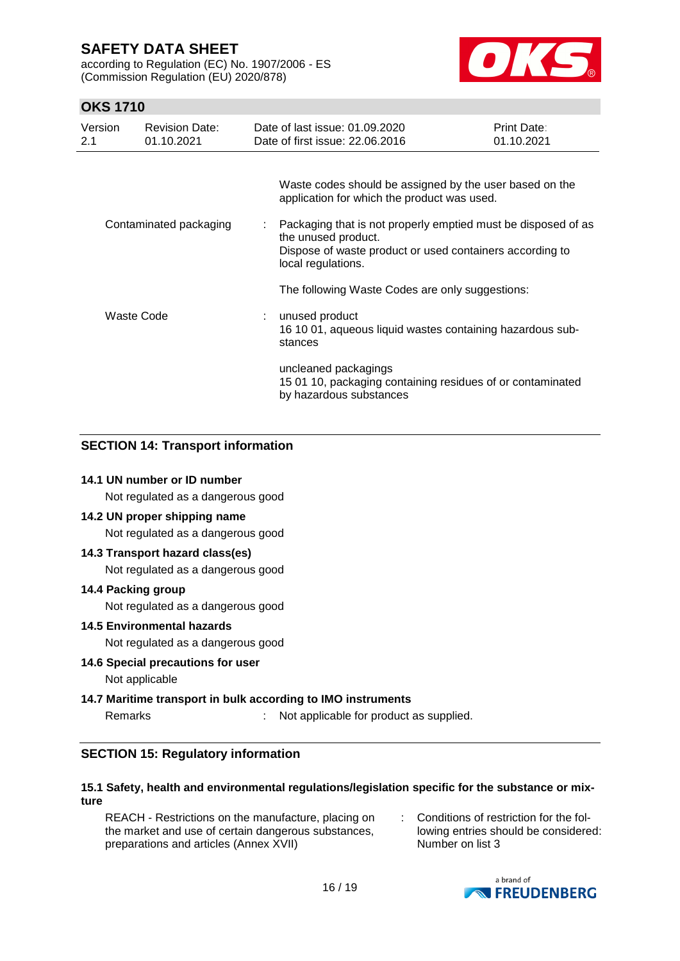according to Regulation (EC) No. 1907/2006 - ES (Commission Regulation (EU) 2020/878)



## **OKS 1710**

| Version<br>2.1 | <b>Revision Date:</b><br>01.10.2021 |                            | Date of last issue: 01.09.2020<br>Date of first issue: 22.06.2016                                                                                                      | <b>Print Date:</b><br>01.10.2021 |
|----------------|-------------------------------------|----------------------------|------------------------------------------------------------------------------------------------------------------------------------------------------------------------|----------------------------------|
|                |                                     |                            | Waste codes should be assigned by the user based on the<br>application for which the product was used.                                                                 |                                  |
|                | Contaminated packaging              | t.                         | Packaging that is not properly emptied must be disposed of as<br>the unused product.<br>Dispose of waste product or used containers according to<br>local regulations. |                                  |
|                |                                     |                            | The following Waste Codes are only suggestions:                                                                                                                        |                                  |
| Waste Code     |                                     | $\mathcal{L}^{\text{max}}$ | unused product<br>16 10 01, aqueous liquid wastes containing hazardous sub-<br>stances                                                                                 |                                  |
|                |                                     |                            | uncleaned packagings<br>15 01 10, packaging containing residues of or contaminated<br>by hazardous substances                                                          |                                  |

## **SECTION 14: Transport information**

#### **14.1 UN number or ID number**

Not regulated as a dangerous good

#### **14.2 UN proper shipping name**

Not regulated as a dangerous good

#### **14.3 Transport hazard class(es)**

Not regulated as a dangerous good

#### **14.4 Packing group**

Not regulated as a dangerous good

#### **14.5 Environmental hazards**

Not regulated as a dangerous good

**14.6 Special precautions for user** Not applicable

#### **14.7 Maritime transport in bulk according to IMO instruments**

Remarks : Not applicable for product as supplied.

#### **SECTION 15: Regulatory information**

#### **15.1 Safety, health and environmental regulations/legislation specific for the substance or mixture**

REACH - Restrictions on the manufacture, placing on the market and use of certain dangerous substances, preparations and articles (Annex XVII)

: Conditions of restriction for the following entries should be considered: Number on list 3

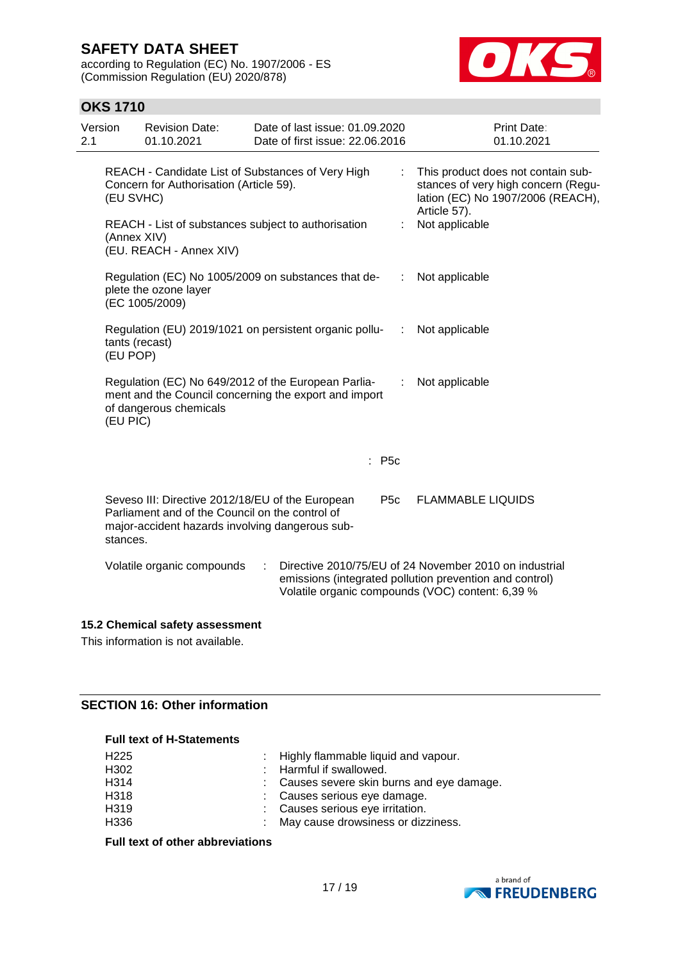according to Regulation (EC) No. 1907/2006 - ES (Commission Regulation (EU) 2020/878)



## **OKS 1710**

| Version<br>2.1                                                                                            | <b>Revision Date:</b><br>01.10.2021                                                                                                                    | Date of last issue: 01.09.2020<br>Date of first issue: 22.06.2016                                            |                 | <b>Print Date:</b><br>01.10.2021                                                                                                                                      |
|-----------------------------------------------------------------------------------------------------------|--------------------------------------------------------------------------------------------------------------------------------------------------------|--------------------------------------------------------------------------------------------------------------|-----------------|-----------------------------------------------------------------------------------------------------------------------------------------------------------------------|
| REACH - Candidate List of Substances of Very High<br>Concern for Authorisation (Article 59).<br>(EU SVHC) |                                                                                                                                                        |                                                                                                              | ÷               | This product does not contain sub-<br>stances of very high concern (Regu-<br>lation (EC) No 1907/2006 (REACH),<br>Article 57).                                        |
|                                                                                                           | (Annex XIV)<br>(EU. REACH - Annex XIV)                                                                                                                 | REACH - List of substances subject to authorisation                                                          |                 | Not applicable                                                                                                                                                        |
|                                                                                                           | plete the ozone layer<br>(EC 1005/2009)                                                                                                                | Regulation (EC) No 1005/2009 on substances that de-                                                          | ÷               | Not applicable                                                                                                                                                        |
|                                                                                                           | tants (recast)<br>(EU POP)                                                                                                                             | Regulation (EU) 2019/1021 on persistent organic pollu-                                                       | ÷               | Not applicable                                                                                                                                                        |
| (EU PIC)                                                                                                  | of dangerous chemicals                                                                                                                                 | Regulation (EC) No 649/2012 of the European Parlia-<br>ment and the Council concerning the export and import |                 | Not applicable                                                                                                                                                        |
|                                                                                                           |                                                                                                                                                        |                                                                                                              | $:$ P5c         |                                                                                                                                                                       |
| stances.                                                                                                  | Seveso III: Directive 2012/18/EU of the European<br>Parliament and of the Council on the control of<br>major-accident hazards involving dangerous sub- |                                                                                                              | P <sub>5c</sub> | <b>FLAMMABLE LIQUIDS</b>                                                                                                                                              |
|                                                                                                           | Volatile organic compounds                                                                                                                             | ÷                                                                                                            |                 | Directive 2010/75/EU of 24 November 2010 on industrial<br>emissions (integrated pollution prevention and control)<br>Volatile organic compounds (VOC) content: 6,39 % |

### **15.2 Chemical safety assessment**

This information is not available.

### **SECTION 16: Other information**

#### **Full text of H-Statements**

| H <sub>225</sub> | : Highly flammable liquid and vapour.      |
|------------------|--------------------------------------------|
| H <sub>302</sub> | : Harmful if swallowed.                    |
| H314             | : Causes severe skin burns and eye damage. |
| H318             | : Causes serious eye damage.               |
| H <sub>319</sub> | : Causes serious eye irritation.           |
| H336             | May cause drowsiness or dizziness.         |

**Full text of other abbreviations**

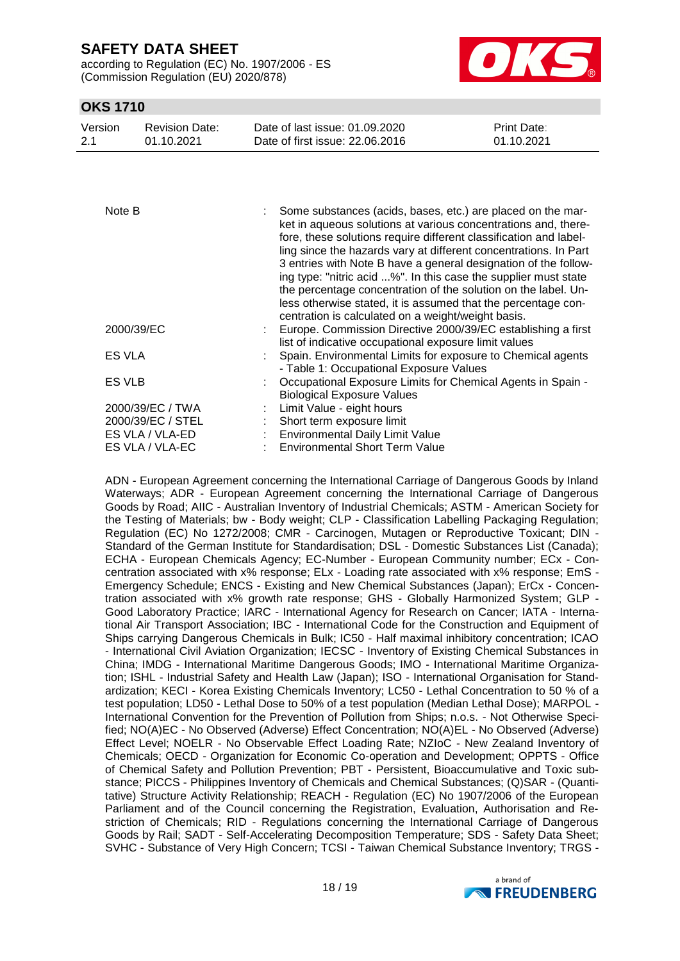according to Regulation (EC) No. 1907/2006 - ES (Commission Regulation (EU) 2020/878)



### **OKS 1710**

| Version | <b>Revision Date:</b> | Date of last issue: 01.09.2020  | <b>Print Date:</b> |
|---------|-----------------------|---------------------------------|--------------------|
| 2.1     | 01.10.2021            | Date of first issue: 22,06,2016 | 01.10.2021         |

| Note B                                                                      | Some substances (acids, bases, etc.) are placed on the mar-<br>ket in aqueous solutions at various concentrations and, there-<br>fore, these solutions require different classification and label-<br>ling since the hazards vary at different concentrations. In Part<br>3 entries with Note B have a general designation of the follow-<br>ing type: "nitric acid %". In this case the supplier must state<br>the percentage concentration of the solution on the label. Un-<br>less otherwise stated, it is assumed that the percentage con-<br>centration is calculated on a weight/weight basis. |
|-----------------------------------------------------------------------------|-------------------------------------------------------------------------------------------------------------------------------------------------------------------------------------------------------------------------------------------------------------------------------------------------------------------------------------------------------------------------------------------------------------------------------------------------------------------------------------------------------------------------------------------------------------------------------------------------------|
| 2000/39/EC                                                                  | : Europe. Commission Directive 2000/39/EC establishing a first<br>list of indicative occupational exposure limit values                                                                                                                                                                                                                                                                                                                                                                                                                                                                               |
| ES VLA                                                                      | Spain. Environmental Limits for exposure to Chemical agents<br>- Table 1: Occupational Exposure Values                                                                                                                                                                                                                                                                                                                                                                                                                                                                                                |
| ES VLB                                                                      | Occupational Exposure Limits for Chemical Agents in Spain -<br><b>Biological Exposure Values</b>                                                                                                                                                                                                                                                                                                                                                                                                                                                                                                      |
| 2000/39/EC / TWA<br>2000/39/EC / STEL<br>ES VLA / VLA-ED<br>ES VLA / VLA-EC | Limit Value - eight hours<br>Short term exposure limit<br>: Environmental Daily Limit Value<br>: Environmental Short Term Value                                                                                                                                                                                                                                                                                                                                                                                                                                                                       |

ADN - European Agreement concerning the International Carriage of Dangerous Goods by Inland Waterways; ADR - European Agreement concerning the International Carriage of Dangerous Goods by Road; AIIC - Australian Inventory of Industrial Chemicals; ASTM - American Society for the Testing of Materials; bw - Body weight; CLP - Classification Labelling Packaging Regulation; Regulation (EC) No 1272/2008; CMR - Carcinogen, Mutagen or Reproductive Toxicant; DIN - Standard of the German Institute for Standardisation; DSL - Domestic Substances List (Canada); ECHA - European Chemicals Agency; EC-Number - European Community number; ECx - Concentration associated with x% response; ELx - Loading rate associated with x% response; EmS - Emergency Schedule; ENCS - Existing and New Chemical Substances (Japan); ErCx - Concentration associated with x% growth rate response; GHS - Globally Harmonized System; GLP - Good Laboratory Practice; IARC - International Agency for Research on Cancer; IATA - International Air Transport Association; IBC - International Code for the Construction and Equipment of Ships carrying Dangerous Chemicals in Bulk; IC50 - Half maximal inhibitory concentration; ICAO - International Civil Aviation Organization; IECSC - Inventory of Existing Chemical Substances in China; IMDG - International Maritime Dangerous Goods; IMO - International Maritime Organization; ISHL - Industrial Safety and Health Law (Japan); ISO - International Organisation for Standardization; KECI - Korea Existing Chemicals Inventory; LC50 - Lethal Concentration to 50 % of a test population; LD50 - Lethal Dose to 50% of a test population (Median Lethal Dose); MARPOL - International Convention for the Prevention of Pollution from Ships; n.o.s. - Not Otherwise Specified; NO(A)EC - No Observed (Adverse) Effect Concentration; NO(A)EL - No Observed (Adverse) Effect Level; NOELR - No Observable Effect Loading Rate; NZIoC - New Zealand Inventory of Chemicals; OECD - Organization for Economic Co-operation and Development; OPPTS - Office of Chemical Safety and Pollution Prevention; PBT - Persistent, Bioaccumulative and Toxic substance; PICCS - Philippines Inventory of Chemicals and Chemical Substances; (Q)SAR - (Quantitative) Structure Activity Relationship; REACH - Regulation (EC) No 1907/2006 of the European Parliament and of the Council concerning the Registration, Evaluation, Authorisation and Restriction of Chemicals; RID - Regulations concerning the International Carriage of Dangerous Goods by Rail; SADT - Self-Accelerating Decomposition Temperature; SDS - Safety Data Sheet; SVHC - Substance of Very High Concern; TCSI - Taiwan Chemical Substance Inventory; TRGS -